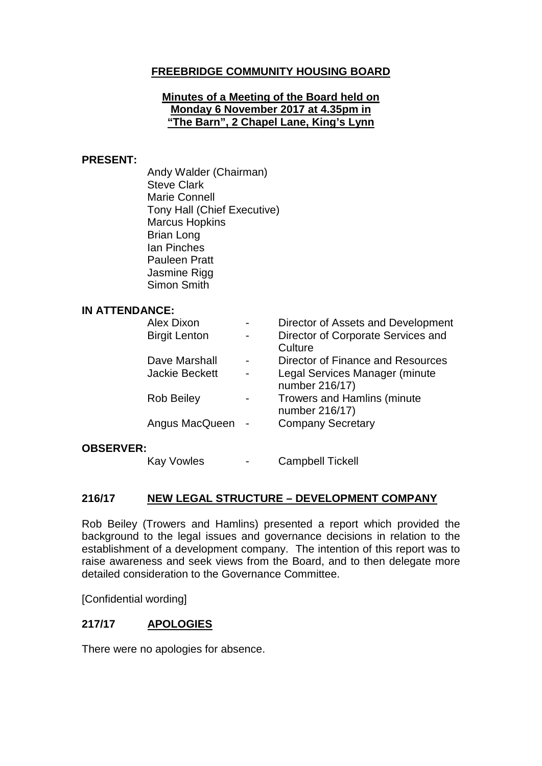# **FREEBRIDGE COMMUNITY HOUSING BOARD**

#### **Minutes of a Meeting of the Board held on Monday 6 November 2017 at 4.35pm in "The Barn", 2 Chapel Lane, King's Lynn**

#### **PRESENT:**

Andy Walder (Chairman) Steve Clark Marie Connell Tony Hall (Chief Executive) Marcus Hopkins Brian Long Ian Pinches Pauleen Pratt Jasmine Rigg Simon Smith

#### **IN ATTENDANCE:**

|  | Alex Dixon            |  | Director of Assets and Development                   |
|--|-----------------------|--|------------------------------------------------------|
|  | <b>Birgit Lenton</b>  |  | Director of Corporate Services and<br>Culture        |
|  | Dave Marshall         |  | Director of Finance and Resources                    |
|  | <b>Jackie Beckett</b> |  | Legal Services Manager (minute<br>number 216/17)     |
|  | <b>Rob Beiley</b>     |  | <b>Trowers and Hamlins (minute</b><br>number 216/17) |
|  | Angus MacQueen -      |  | <b>Company Secretary</b>                             |
|  |                       |  |                                                      |

#### **OBSERVER:**

Kay Vowles - Campbell Tickell

#### **216/17 NEW LEGAL STRUCTURE – DEVELOPMENT COMPANY**

Rob Beiley (Trowers and Hamlins) presented a report which provided the background to the legal issues and governance decisions in relation to the establishment of a development company. The intention of this report was to raise awareness and seek views from the Board, and to then delegate more detailed consideration to the Governance Committee.

[Confidential wording]

# **217/17 APOLOGIES**

There were no apologies for absence.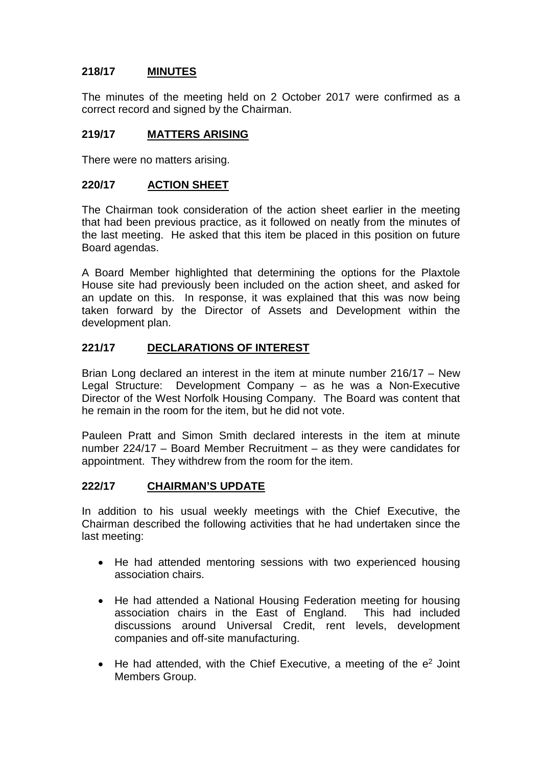# **218/17 MINUTES**

The minutes of the meeting held on 2 October 2017 were confirmed as a correct record and signed by the Chairman.

# **219/17 MATTERS ARISING**

There were no matters arising.

### **220/17 ACTION SHEET**

The Chairman took consideration of the action sheet earlier in the meeting that had been previous practice, as it followed on neatly from the minutes of the last meeting. He asked that this item be placed in this position on future Board agendas.

A Board Member highlighted that determining the options for the Plaxtole House site had previously been included on the action sheet, and asked for an update on this. In response, it was explained that this was now being taken forward by the Director of Assets and Development within the development plan.

# **221/17 DECLARATIONS OF INTEREST**

Brian Long declared an interest in the item at minute number 216/17 – New Legal Structure: Development Company – as he was a Non-Executive Director of the West Norfolk Housing Company. The Board was content that he remain in the room for the item, but he did not vote.

Pauleen Pratt and Simon Smith declared interests in the item at minute number 224/17 – Board Member Recruitment – as they were candidates for appointment. They withdrew from the room for the item.

### **222/17 CHAIRMAN'S UPDATE**

In addition to his usual weekly meetings with the Chief Executive, the Chairman described the following activities that he had undertaken since the last meeting:

- He had attended mentoring sessions with two experienced housing association chairs.
- He had attended a National Housing Federation meeting for housing association chairs in the East of England. This had included discussions around Universal Credit, rent levels, development companies and off-site manufacturing.
- He had attended, with the Chief Executive, a meeting of the  $e<sup>2</sup>$  Joint Members Group.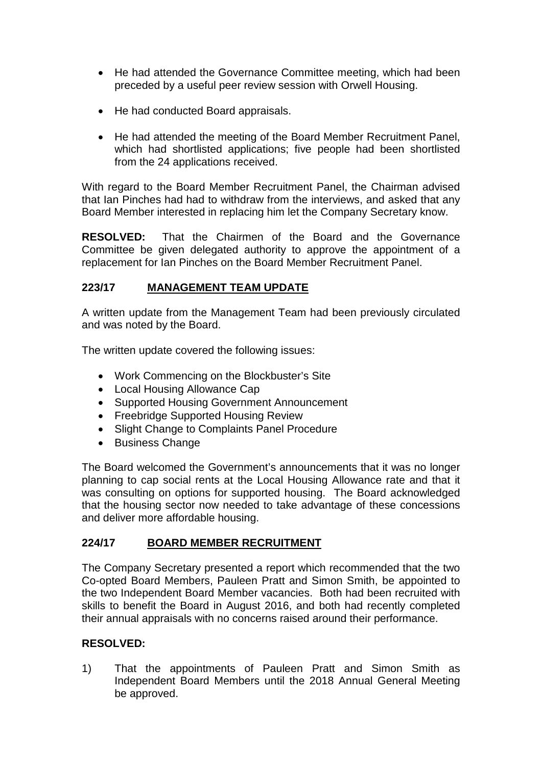- He had attended the Governance Committee meeting, which had been preceded by a useful peer review session with Orwell Housing.
- He had conducted Board appraisals.
- He had attended the meeting of the Board Member Recruitment Panel, which had shortlisted applications; five people had been shortlisted from the 24 applications received.

With regard to the Board Member Recruitment Panel, the Chairman advised that Ian Pinches had had to withdraw from the interviews, and asked that any Board Member interested in replacing him let the Company Secretary know.

**RESOLVED:** That the Chairmen of the Board and the Governance Committee be given delegated authority to approve the appointment of a replacement for Ian Pinches on the Board Member Recruitment Panel.

# **223/17 MANAGEMENT TEAM UPDATE**

A written update from the Management Team had been previously circulated and was noted by the Board.

The written update covered the following issues:

- Work Commencing on the Blockbuster's Site
- Local Housing Allowance Cap
- Supported Housing Government Announcement
- Freebridge Supported Housing Review
- Slight Change to Complaints Panel Procedure
- Business Change

The Board welcomed the Government's announcements that it was no longer planning to cap social rents at the Local Housing Allowance rate and that it was consulting on options for supported housing. The Board acknowledged that the housing sector now needed to take advantage of these concessions and deliver more affordable housing.

### **224/17 BOARD MEMBER RECRUITMENT**

The Company Secretary presented a report which recommended that the two Co-opted Board Members, Pauleen Pratt and Simon Smith, be appointed to the two Independent Board Member vacancies. Both had been recruited with skills to benefit the Board in August 2016, and both had recently completed their annual appraisals with no concerns raised around their performance.

#### **RESOLVED:**

1) That the appointments of Pauleen Pratt and Simon Smith as Independent Board Members until the 2018 Annual General Meeting be approved.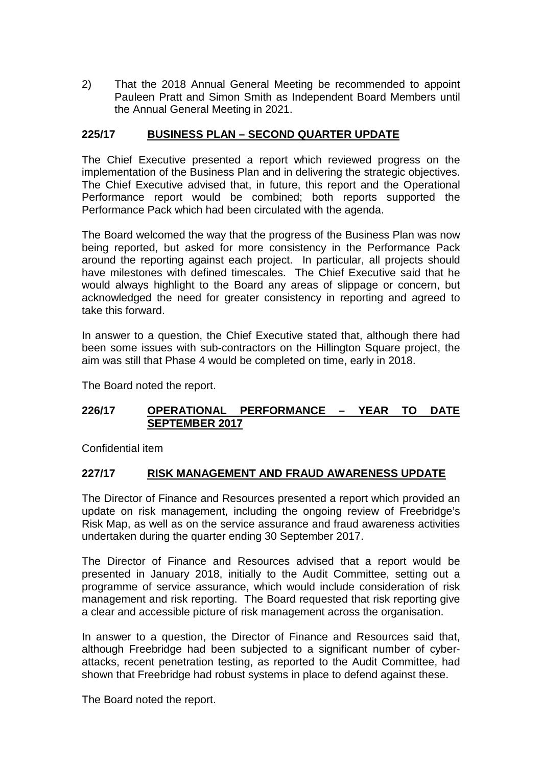2) That the 2018 Annual General Meeting be recommended to appoint Pauleen Pratt and Simon Smith as Independent Board Members until the Annual General Meeting in 2021.

# **225/17 BUSINESS PLAN – SECOND QUARTER UPDATE**

The Chief Executive presented a report which reviewed progress on the implementation of the Business Plan and in delivering the strategic objectives. The Chief Executive advised that, in future, this report and the Operational Performance report would be combined; both reports supported the Performance Pack which had been circulated with the agenda.

The Board welcomed the way that the progress of the Business Plan was now being reported, but asked for more consistency in the Performance Pack around the reporting against each project. In particular, all projects should have milestones with defined timescales. The Chief Executive said that he would always highlight to the Board any areas of slippage or concern, but acknowledged the need for greater consistency in reporting and agreed to take this forward.

In answer to a question, the Chief Executive stated that, although there had been some issues with sub-contractors on the Hillington Square project, the aim was still that Phase 4 would be completed on time, early in 2018.

The Board noted the report.

### **226/17 OPERATIONAL PERFORMANCE – YEAR TO DATE SEPTEMBER 2017**

Confidential item

### **227/17 RISK MANAGEMENT AND FRAUD AWARENESS UPDATE**

The Director of Finance and Resources presented a report which provided an update on risk management, including the ongoing review of Freebridge's Risk Map, as well as on the service assurance and fraud awareness activities undertaken during the quarter ending 30 September 2017.

The Director of Finance and Resources advised that a report would be presented in January 2018, initially to the Audit Committee, setting out a programme of service assurance, which would include consideration of risk management and risk reporting. The Board requested that risk reporting give a clear and accessible picture of risk management across the organisation.

In answer to a question, the Director of Finance and Resources said that, although Freebridge had been subjected to a significant number of cyberattacks, recent penetration testing, as reported to the Audit Committee, had shown that Freebridge had robust systems in place to defend against these.

The Board noted the report.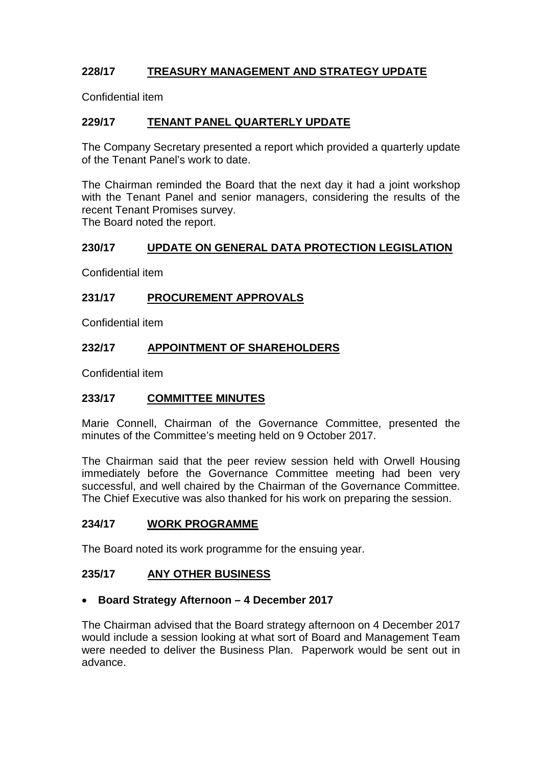# **228/17 TREASURY MANAGEMENT AND STRATEGY UPDATE**

Confidential item

# **229/17 TENANT PANEL QUARTERLY UPDATE**

The Company Secretary presented a report which provided a quarterly update of the Tenant Panel's work to date.

The Chairman reminded the Board that the next day it had a joint workshop with the Tenant Panel and senior managers, considering the results of the recent Tenant Promises survey.

The Board noted the report.

# **230/17 UPDATE ON GENERAL DATA PROTECTION LEGISLATION**

Confidential item

# **231/17 PROCUREMENT APPROVALS**

Confidential item

# **232/17 APPOINTMENT OF SHAREHOLDERS**

Confidential item

### **233/17 COMMITTEE MINUTES**

Marie Connell, Chairman of the Governance Committee, presented the minutes of the Committee's meeting held on 9 October 2017.

The Chairman said that the peer review session held with Orwell Housing immediately before the Governance Committee meeting had been very successful, and well chaired by the Chairman of the Governance Committee. The Chief Executive was also thanked for his work on preparing the session.

### **234/17 WORK PROGRAMME**

The Board noted its work programme for the ensuing year.

### **235/17 ANY OTHER BUSINESS**

#### • **Board Strategy Afternoon – 4 December 2017**

The Chairman advised that the Board strategy afternoon on 4 December 2017 would include a session looking at what sort of Board and Management Team were needed to deliver the Business Plan. Paperwork would be sent out in advance.